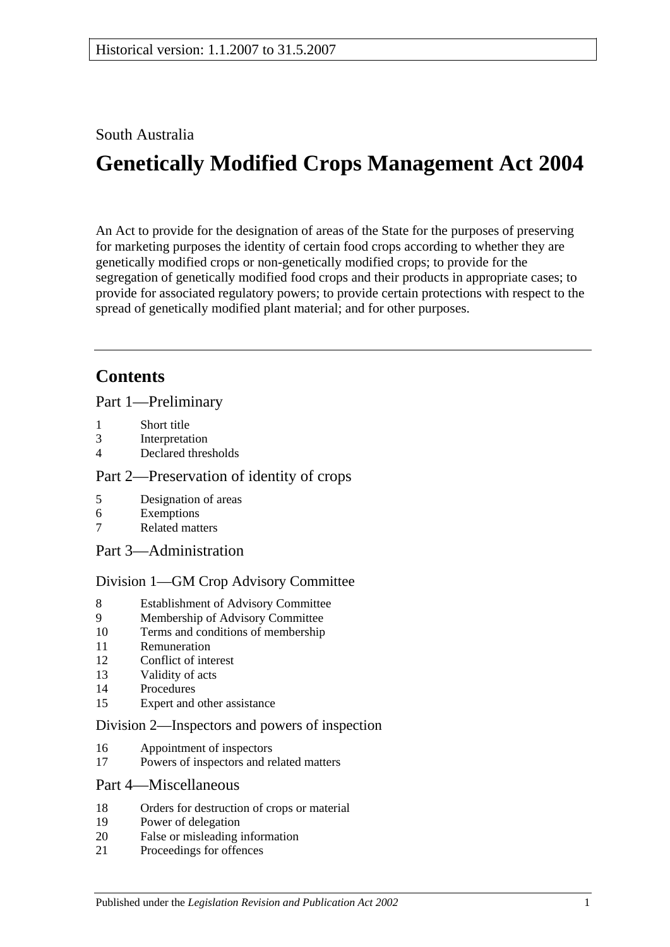# South Australia

# **Genetically Modified Crops Management Act 2004**

An Act to provide for the designation of areas of the State for the purposes of preserving for marketing purposes the identity of certain food crops according to whether they are genetically modified crops or non-genetically modified crops; to provide for the segregation of genetically modified food crops and their products in appropriate cases; to provide for associated regulatory powers; to provide certain protections with respect to the spread of genetically modified plant material; and for other purposes.

# **Contents**

[Part 1—Preliminary](#page-1-0)

- 1 [Short title](#page-1-1)
- 3 [Interpretation](#page-1-2)
- 4 [Declared thresholds](#page-3-0)

### [Part 2—Preservation of identity of crops](#page-3-1)

- 5 [Designation of areas](#page-3-2)
- 6 [Exemptions](#page-5-0)
- 7 [Related matters](#page-6-0)
- [Part 3—Administration](#page-6-1)

#### [Division 1—GM Crop Advisory Committee](#page-6-2)

- 8 [Establishment of Advisory Committee](#page-6-3)
- 9 [Membership of Advisory Committee](#page-6-4)
- 10 [Terms and conditions of membership](#page-7-0)
- 11 [Remuneration](#page-7-1)
- 12 [Conflict of interest](#page-7-2)
- 13 [Validity of acts](#page-8-0)
- 14 [Procedures](#page-8-1)
- 15 [Expert and other assistance](#page-9-0)

#### [Division 2—Inspectors and powers of inspection](#page-9-1)

- 16 [Appointment of inspectors](#page-9-2)
- 17 [Powers of inspectors and related matters](#page-9-3)

#### [Part 4—Miscellaneous](#page-10-0)

- 18 [Orders for destruction of crops or material](#page-10-1)
- 19 [Power of delegation](#page-10-2)
- 20 [False or misleading information](#page-11-0)
- 21 [Proceedings for offences](#page-11-1)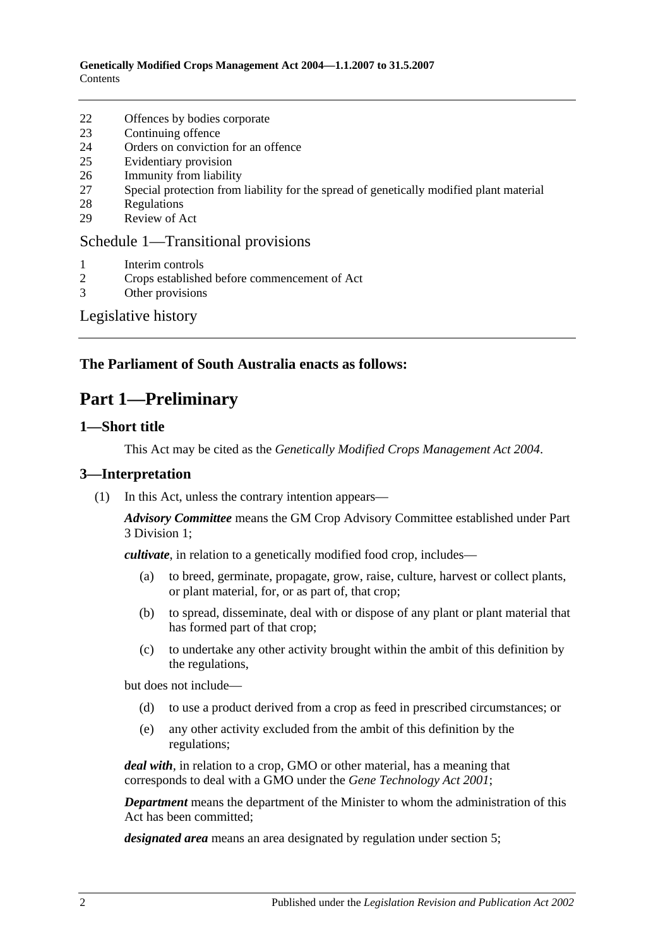- 22 [Offences by bodies corporate](#page-11-2)
- 23 [Continuing offence](#page-11-3)
- 24 [Orders on conviction for an offence](#page-12-0)
- 25 [Evidentiary provision](#page-13-0)
- 26 [Immunity from liability](#page-13-1)
- 27 [Special protection from liability for the spread of genetically modified plant material](#page-13-2)
- 28 [Regulations](#page-14-0)
- 29 [Review of Act](#page-15-0)

### [Schedule 1—Transitional provisions](#page-15-1)

- 1 [Interim controls](#page-15-2)
- 2 [Crops established before commencement of Act](#page-15-3)
- 3 [Other provisions](#page-15-4)

# [Legislative history](#page-16-0)

# <span id="page-1-0"></span>**The Parliament of South Australia enacts as follows:**

# **Part 1—Preliminary**

### <span id="page-1-1"></span>**1—Short title**

This Act may be cited as the *Genetically Modified Crops Management Act 2004*.

#### <span id="page-1-2"></span>**3—Interpretation**

(1) In this Act, unless the contrary intention appears—

*Advisory Committee* means the GM Crop Advisory Committee established under [Part](#page-6-2)  [3 Division 1;](#page-6-2)

*cultivate*, in relation to a genetically modified food crop, includes—

- (a) to breed, germinate, propagate, grow, raise, culture, harvest or collect plants, or plant material, for, or as part of, that crop;
- (b) to spread, disseminate, deal with or dispose of any plant or plant material that has formed part of that crop;
- (c) to undertake any other activity brought within the ambit of this definition by the regulations,

but does not include—

- (d) to use a product derived from a crop as feed in prescribed circumstances; or
- (e) any other activity excluded from the ambit of this definition by the regulations;

*deal with*, in relation to a crop, GMO or other material, has a meaning that corresponds to deal with a GMO under the *[Gene Technology Act](http://www.legislation.sa.gov.au/index.aspx?action=legref&type=act&legtitle=Gene%20Technology%20Act%202001) 2001*;

*Department* means the department of the Minister to whom the administration of this Act has been committed;

*designated area* means an area designated by regulation under [section](#page-3-2) 5;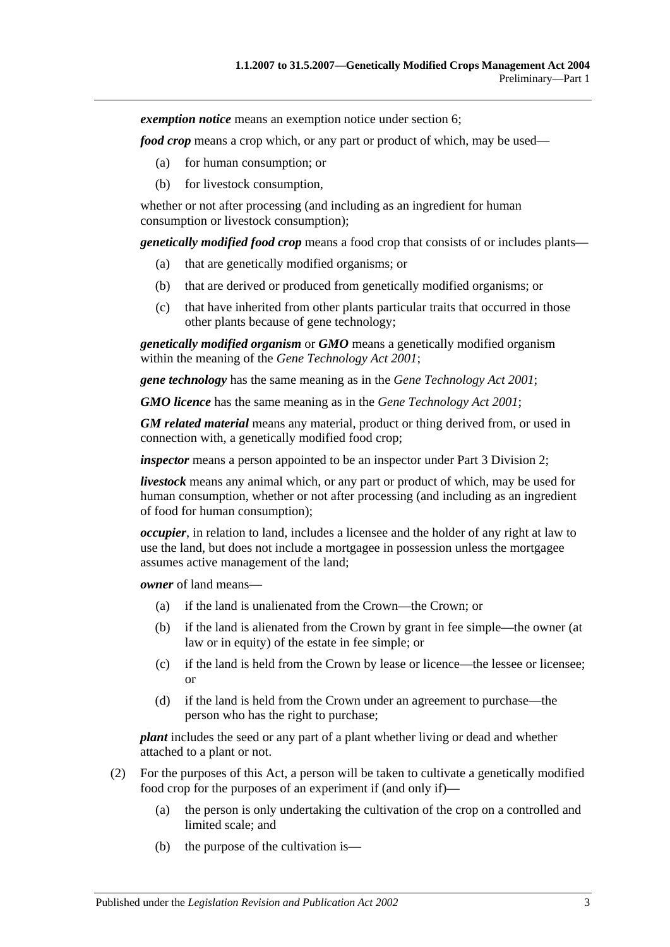*exemption notice* means an exemption notice under [section](#page-5-0) 6;

*food crop* means a crop which, or any part or product of which, may be used—

- (a) for human consumption; or
- (b) for livestock consumption,

whether or not after processing (and including as an ingredient for human consumption or livestock consumption);

*genetically modified food crop* means a food crop that consists of or includes plants—

- (a) that are genetically modified organisms; or
- (b) that are derived or produced from genetically modified organisms; or
- (c) that have inherited from other plants particular traits that occurred in those other plants because of gene technology;

*genetically modified organism* or *GMO* means a genetically modified organism within the meaning of the *[Gene Technology Act](http://www.legislation.sa.gov.au/index.aspx?action=legref&type=act&legtitle=Gene%20Technology%20Act%202001) 2001*;

*gene technology* has the same meaning as in the *[Gene Technology Act](http://www.legislation.sa.gov.au/index.aspx?action=legref&type=act&legtitle=Gene%20Technology%20Act%202001) 2001*;

*GMO licence* has the same meaning as in the *[Gene Technology Act](http://www.legislation.sa.gov.au/index.aspx?action=legref&type=act&legtitle=Gene%20Technology%20Act%202001) 2001*;

*GM related material* means any material, product or thing derived from, or used in connection with, a genetically modified food crop;

*inspector* means a person appointed to be an inspector under [Part 3 Division 2;](#page-9-1)

*livestock* means any animal which, or any part or product of which, may be used for human consumption, whether or not after processing (and including as an ingredient of food for human consumption);

*occupier*, in relation to land, includes a licensee and the holder of any right at law to use the land, but does not include a mortgagee in possession unless the mortgagee assumes active management of the land;

*owner* of land means—

- (a) if the land is unalienated from the Crown—the Crown; or
- (b) if the land is alienated from the Crown by grant in fee simple—the owner (at law or in equity) of the estate in fee simple; or
- (c) if the land is held from the Crown by lease or licence—the lessee or licensee; or
- (d) if the land is held from the Crown under an agreement to purchase—the person who has the right to purchase;

*plant* includes the seed or any part of a plant whether living or dead and whether attached to a plant or not.

- (2) For the purposes of this Act, a person will be taken to cultivate a genetically modified food crop for the purposes of an experiment if (and only if)—
	- (a) the person is only undertaking the cultivation of the crop on a controlled and limited scale; and
	- (b) the purpose of the cultivation is—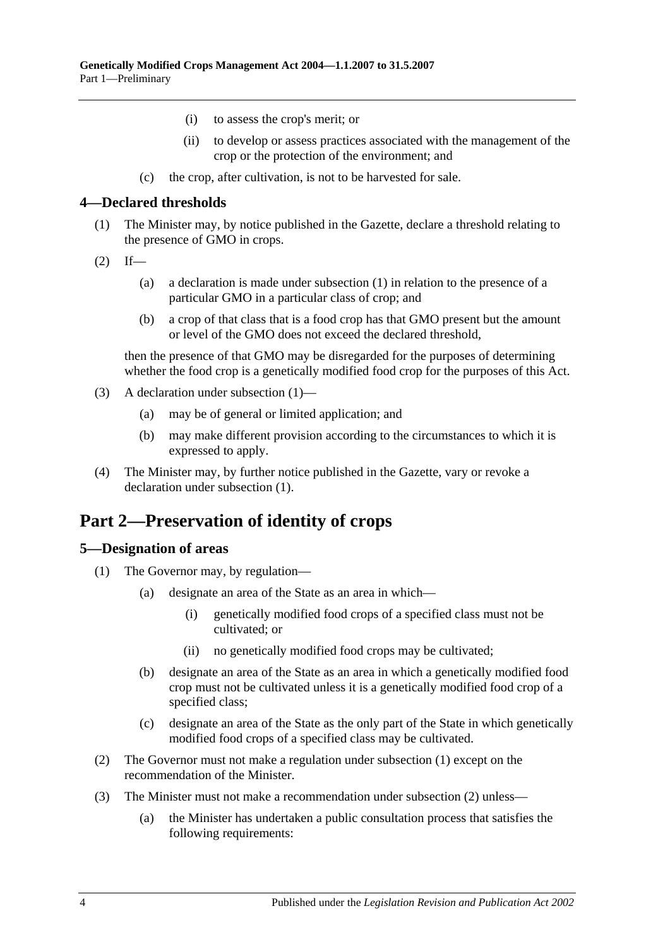- (i) to assess the crop's merit; or
- (ii) to develop or assess practices associated with the management of the crop or the protection of the environment; and
- (c) the crop, after cultivation, is not to be harvested for sale.

#### <span id="page-3-3"></span><span id="page-3-0"></span>**4—Declared thresholds**

- (1) The Minister may, by notice published in the Gazette, declare a threshold relating to the presence of GMO in crops.
- $(2)$  If—
	- (a) a declaration is made under subsection (1) in relation to the presence of a particular GMO in a particular class of crop; and
	- (b) a crop of that class that is a food crop has that GMO present but the amount or level of the GMO does not exceed the declared threshold,

then the presence of that GMO may be disregarded for the purposes of determining whether the food crop is a genetically modified food crop for the purposes of this Act.

- (3) A declaration under [subsection](#page-3-3) (1)—
	- (a) may be of general or limited application; and
	- (b) may make different provision according to the circumstances to which it is expressed to apply.
- (4) The Minister may, by further notice published in the Gazette, vary or revoke a declaration under [subsection](#page-3-3) (1).

# <span id="page-3-1"></span>**Part 2—Preservation of identity of crops**

# <span id="page-3-4"></span><span id="page-3-2"></span>**5—Designation of areas**

- <span id="page-3-6"></span>(1) The Governor may, by regulation—
	- (a) designate an area of the State as an area in which—
		- (i) genetically modified food crops of a specified class must not be cultivated; or
		- (ii) no genetically modified food crops may be cultivated;
	- (b) designate an area of the State as an area in which a genetically modified food crop must not be cultivated unless it is a genetically modified food crop of a specified class;
	- (c) designate an area of the State as the only part of the State in which genetically modified food crops of a specified class may be cultivated.
- <span id="page-3-7"></span><span id="page-3-5"></span>(2) The Governor must not make a regulation under [subsection](#page-3-4) (1) except on the recommendation of the Minister.
- <span id="page-3-8"></span>(3) The Minister must not make a recommendation under [subsection](#page-3-5) (2) unless—
	- (a) the Minister has undertaken a public consultation process that satisfies the following requirements: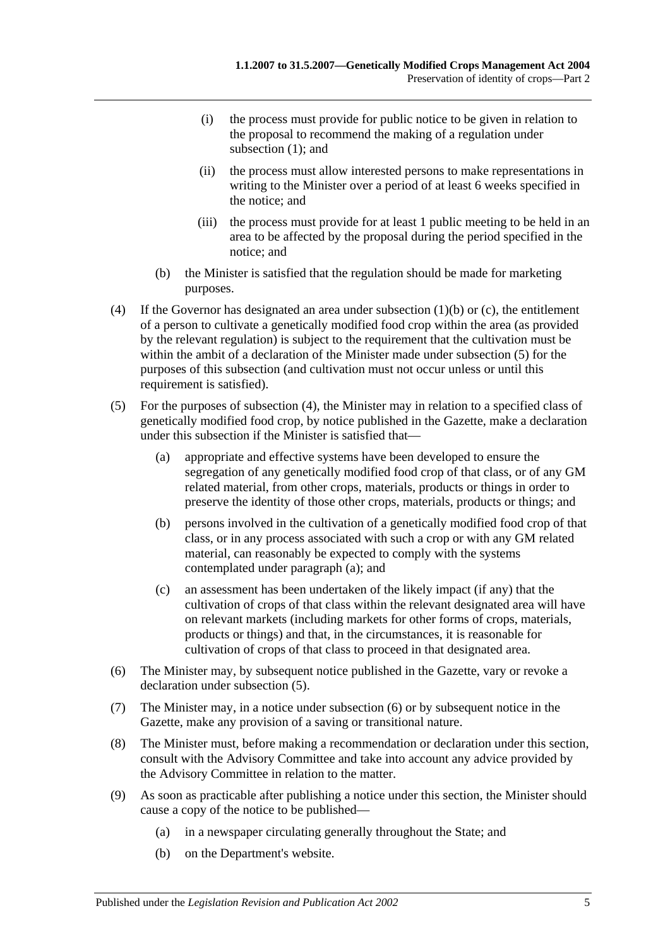- (i) the process must provide for public notice to be given in relation to the proposal to recommend the making of a regulation under [subsection](#page-3-4) (1); and
- (ii) the process must allow interested persons to make representations in writing to the Minister over a period of at least 6 weeks specified in the notice; and
- (iii) the process must provide for at least 1 public meeting to be held in an area to be affected by the proposal during the period specified in the notice; and
- (b) the Minister is satisfied that the regulation should be made for marketing purposes.
- <span id="page-4-1"></span>(4) If the Governor has designated an area under [subsection](#page-3-6) (1)(b) or [\(c\),](#page-3-7) the entitlement of a person to cultivate a genetically modified food crop within the area (as provided by the relevant regulation) is subject to the requirement that the cultivation must be within the ambit of a declaration of the Minister made under [subsection](#page-4-0) (5) for the purposes of this subsection (and cultivation must not occur unless or until this requirement is satisfied).
- <span id="page-4-2"></span><span id="page-4-0"></span>(5) For the purposes of [subsection](#page-4-1) (4), the Minister may in relation to a specified class of genetically modified food crop, by notice published in the Gazette, make a declaration under this subsection if the Minister is satisfied that—
	- (a) appropriate and effective systems have been developed to ensure the segregation of any genetically modified food crop of that class, or of any GM related material, from other crops, materials, products or things in order to preserve the identity of those other crops, materials, products or things; and
	- (b) persons involved in the cultivation of a genetically modified food crop of that class, or in any process associated with such a crop or with any GM related material, can reasonably be expected to comply with the systems contemplated under [paragraph](#page-4-2) (a); and
	- (c) an assessment has been undertaken of the likely impact (if any) that the cultivation of crops of that class within the relevant designated area will have on relevant markets (including markets for other forms of crops, materials, products or things) and that, in the circumstances, it is reasonable for cultivation of crops of that class to proceed in that designated area.
- <span id="page-4-3"></span>(6) The Minister may, by subsequent notice published in the Gazette, vary or revoke a declaration under [subsection](#page-4-0) (5).
- (7) The Minister may, in a notice under [subsection](#page-4-3) (6) or by subsequent notice in the Gazette, make any provision of a saving or transitional nature.
- (8) The Minister must, before making a recommendation or declaration under this section, consult with the Advisory Committee and take into account any advice provided by the Advisory Committee in relation to the matter.
- (9) As soon as practicable after publishing a notice under this section, the Minister should cause a copy of the notice to be published—
	- (a) in a newspaper circulating generally throughout the State; and
	- (b) on the Department's website.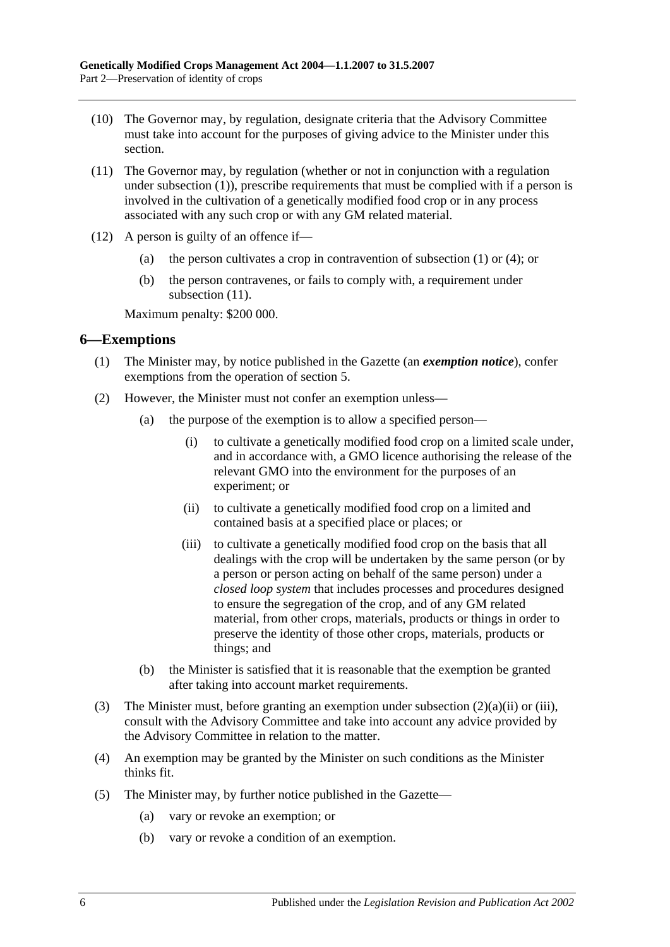- (10) The Governor may, by regulation, designate criteria that the Advisory Committee must take into account for the purposes of giving advice to the Minister under this section.
- <span id="page-5-1"></span>(11) The Governor may, by regulation (whether or not in conjunction with a regulation under [subsection](#page-3-4) (1)), prescribe requirements that must be complied with if a person is involved in the cultivation of a genetically modified food crop or in any process associated with any such crop or with any GM related material.
- (12) A person is guilty of an offence if—
	- (a) the person cultivates a crop in contravention of [subsection](#page-3-4) (1) or [\(4\);](#page-4-1) or
	- (b) the person contravenes, or fails to comply with, a requirement under [subsection](#page-5-1)  $(11)$ .

Maximum penalty: \$200 000.

### <span id="page-5-0"></span>**6—Exemptions**

- (1) The Minister may, by notice published in the Gazette (an *exemption notice*), confer exemptions from the operation of [section](#page-3-2) 5.
- <span id="page-5-3"></span><span id="page-5-2"></span>(2) However, the Minister must not confer an exemption unless—
	- (a) the purpose of the exemption is to allow a specified person—
		- (i) to cultivate a genetically modified food crop on a limited scale under, and in accordance with, a GMO licence authorising the release of the relevant GMO into the environment for the purposes of an experiment; or
		- (ii) to cultivate a genetically modified food crop on a limited and contained basis at a specified place or places; or
		- (iii) to cultivate a genetically modified food crop on the basis that all dealings with the crop will be undertaken by the same person (or by a person or person acting on behalf of the same person) under a *closed loop system* that includes processes and procedures designed to ensure the segregation of the crop, and of any GM related material, from other crops, materials, products or things in order to preserve the identity of those other crops, materials, products or things; and
	- (b) the Minister is satisfied that it is reasonable that the exemption be granted after taking into account market requirements.
- (3) The Minister must, before granting an exemption under [subsection](#page-5-2) (2)(a)(ii) or [\(iii\),](#page-5-3) consult with the Advisory Committee and take into account any advice provided by the Advisory Committee in relation to the matter.
- (4) An exemption may be granted by the Minister on such conditions as the Minister thinks fit.
- (5) The Minister may, by further notice published in the Gazette—
	- (a) vary or revoke an exemption; or
	- (b) vary or revoke a condition of an exemption.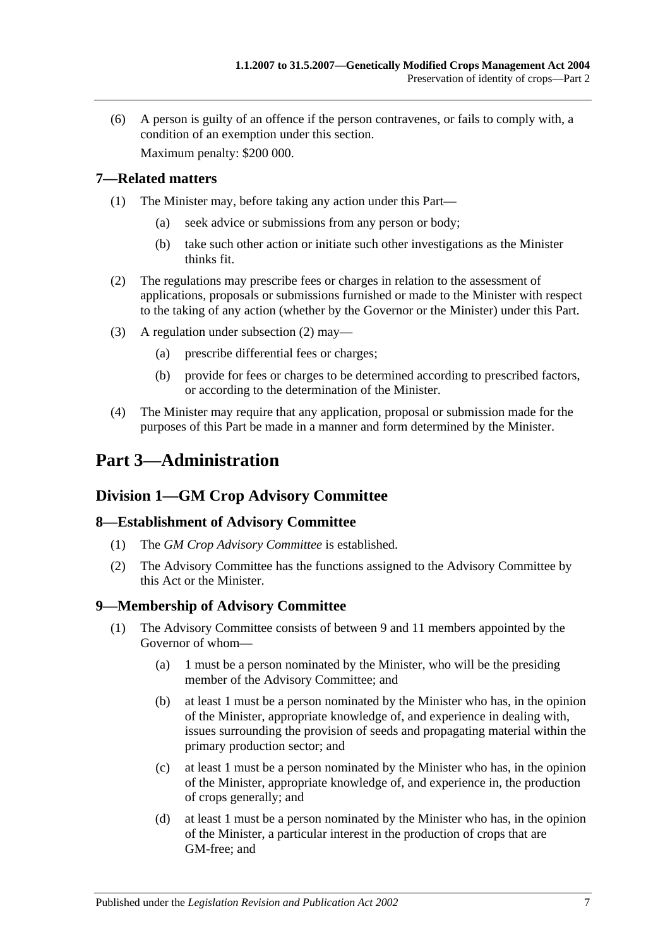(6) A person is guilty of an offence if the person contravenes, or fails to comply with, a condition of an exemption under this section. Maximum penalty: \$200 000.

<span id="page-6-0"></span>**7—Related matters**

- (1) The Minister may, before taking any action under this Part—
	- (a) seek advice or submissions from any person or body;
	- (b) take such other action or initiate such other investigations as the Minister thinks fit.
- <span id="page-6-5"></span>(2) The regulations may prescribe fees or charges in relation to the assessment of applications, proposals or submissions furnished or made to the Minister with respect to the taking of any action (whether by the Governor or the Minister) under this Part.
- (3) A regulation under [subsection](#page-6-5) (2) may—
	- (a) prescribe differential fees or charges;
	- (b) provide for fees or charges to be determined according to prescribed factors, or according to the determination of the Minister.
- (4) The Minister may require that any application, proposal or submission made for the purposes of this Part be made in a manner and form determined by the Minister.

# <span id="page-6-1"></span>**Part 3—Administration**

# <span id="page-6-2"></span>**Division 1—GM Crop Advisory Committee**

# <span id="page-6-3"></span>**8—Establishment of Advisory Committee**

- (1) The *GM Crop Advisory Committee* is established.
- (2) The Advisory Committee has the functions assigned to the Advisory Committee by this Act or the Minister.

# <span id="page-6-4"></span>**9—Membership of Advisory Committee**

- (1) The Advisory Committee consists of between 9 and 11 members appointed by the Governor of whom—
	- (a) 1 must be a person nominated by the Minister, who will be the presiding member of the Advisory Committee; and
	- (b) at least 1 must be a person nominated by the Minister who has, in the opinion of the Minister, appropriate knowledge of, and experience in dealing with, issues surrounding the provision of seeds and propagating material within the primary production sector; and
	- (c) at least 1 must be a person nominated by the Minister who has, in the opinion of the Minister, appropriate knowledge of, and experience in, the production of crops generally; and
	- (d) at least 1 must be a person nominated by the Minister who has, in the opinion of the Minister, a particular interest in the production of crops that are GM-free; and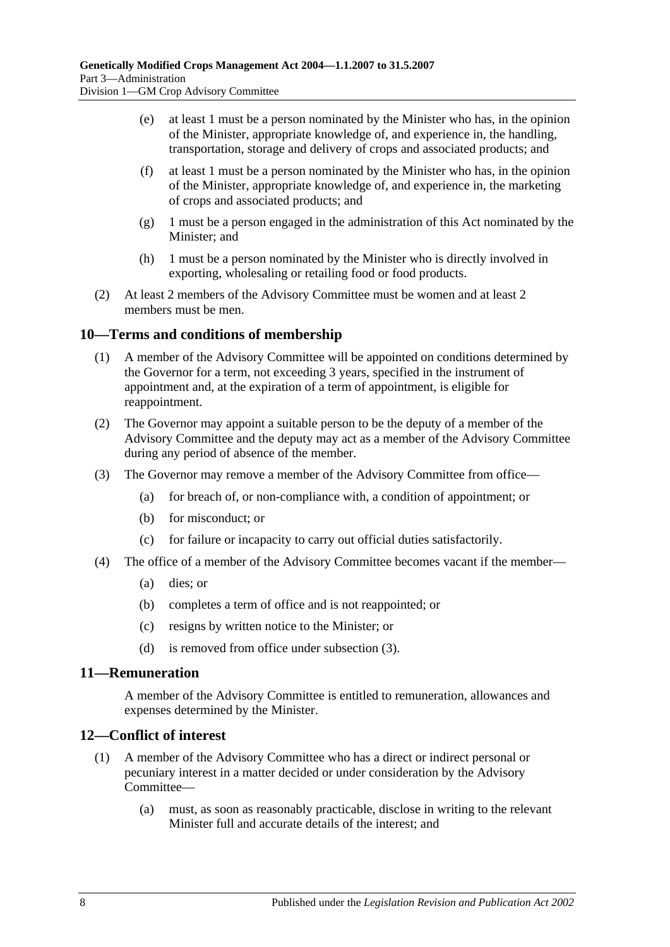- (e) at least 1 must be a person nominated by the Minister who has, in the opinion of the Minister, appropriate knowledge of, and experience in, the handling, transportation, storage and delivery of crops and associated products; and
- (f) at least 1 must be a person nominated by the Minister who has, in the opinion of the Minister, appropriate knowledge of, and experience in, the marketing of crops and associated products; and
- (g) 1 must be a person engaged in the administration of this Act nominated by the Minister; and
- (h) 1 must be a person nominated by the Minister who is directly involved in exporting, wholesaling or retailing food or food products.
- (2) At least 2 members of the Advisory Committee must be women and at least 2 members must be men.

# <span id="page-7-0"></span>**10—Terms and conditions of membership**

- (1) A member of the Advisory Committee will be appointed on conditions determined by the Governor for a term, not exceeding 3 years, specified in the instrument of appointment and, at the expiration of a term of appointment, is eligible for reappointment.
- (2) The Governor may appoint a suitable person to be the deputy of a member of the Advisory Committee and the deputy may act as a member of the Advisory Committee during any period of absence of the member.
- <span id="page-7-3"></span>(3) The Governor may remove a member of the Advisory Committee from office—
	- (a) for breach of, or non-compliance with, a condition of appointment; or
	- (b) for misconduct; or
	- (c) for failure or incapacity to carry out official duties satisfactorily.
- (4) The office of a member of the Advisory Committee becomes vacant if the member—
	- (a) dies; or
	- (b) completes a term of office and is not reappointed; or
	- (c) resigns by written notice to the Minister; or
	- (d) is removed from office under [subsection](#page-7-3) (3).

#### <span id="page-7-1"></span>**11—Remuneration**

A member of the Advisory Committee is entitled to remuneration, allowances and expenses determined by the Minister.

# <span id="page-7-2"></span>**12—Conflict of interest**

- (1) A member of the Advisory Committee who has a direct or indirect personal or pecuniary interest in a matter decided or under consideration by the Advisory Committee—
	- (a) must, as soon as reasonably practicable, disclose in writing to the relevant Minister full and accurate details of the interest; and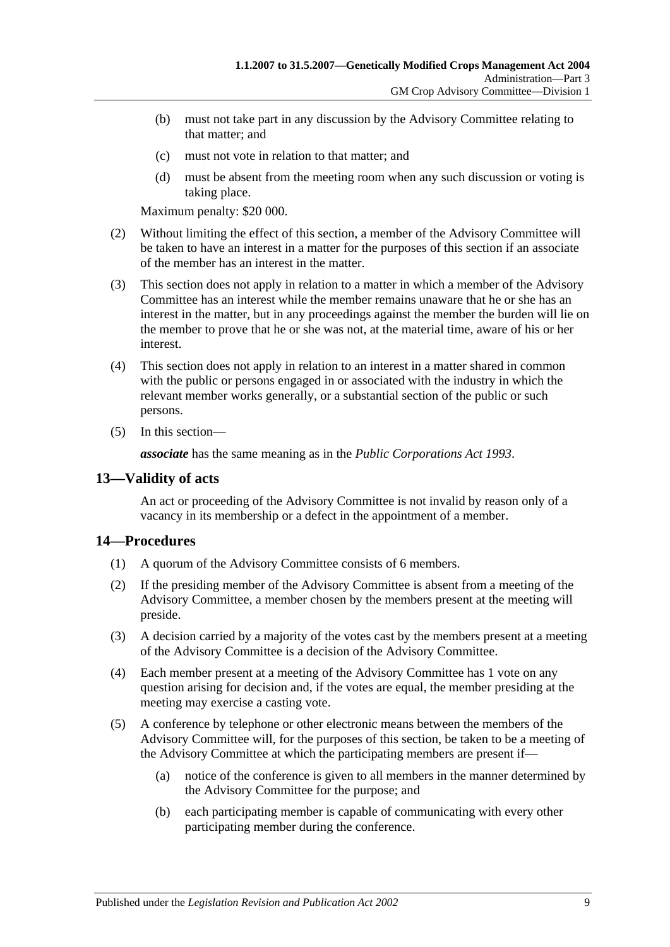- (b) must not take part in any discussion by the Advisory Committee relating to that matter; and
- (c) must not vote in relation to that matter; and
- (d) must be absent from the meeting room when any such discussion or voting is taking place.

Maximum penalty: \$20 000.

- (2) Without limiting the effect of this section, a member of the Advisory Committee will be taken to have an interest in a matter for the purposes of this section if an associate of the member has an interest in the matter.
- (3) This section does not apply in relation to a matter in which a member of the Advisory Committee has an interest while the member remains unaware that he or she has an interest in the matter, but in any proceedings against the member the burden will lie on the member to prove that he or she was not, at the material time, aware of his or her interest.
- (4) This section does not apply in relation to an interest in a matter shared in common with the public or persons engaged in or associated with the industry in which the relevant member works generally, or a substantial section of the public or such persons.
- (5) In this section—

*associate* has the same meaning as in the *[Public Corporations Act](http://www.legislation.sa.gov.au/index.aspx?action=legref&type=act&legtitle=Public%20Corporations%20Act%201993) 1993*.

# <span id="page-8-0"></span>**13—Validity of acts**

An act or proceeding of the Advisory Committee is not invalid by reason only of a vacancy in its membership or a defect in the appointment of a member.

# <span id="page-8-1"></span>**14—Procedures**

- (1) A quorum of the Advisory Committee consists of 6 members.
- (2) If the presiding member of the Advisory Committee is absent from a meeting of the Advisory Committee, a member chosen by the members present at the meeting will preside.
- (3) A decision carried by a majority of the votes cast by the members present at a meeting of the Advisory Committee is a decision of the Advisory Committee.
- (4) Each member present at a meeting of the Advisory Committee has 1 vote on any question arising for decision and, if the votes are equal, the member presiding at the meeting may exercise a casting vote.
- (5) A conference by telephone or other electronic means between the members of the Advisory Committee will, for the purposes of this section, be taken to be a meeting of the Advisory Committee at which the participating members are present if—
	- (a) notice of the conference is given to all members in the manner determined by the Advisory Committee for the purpose; and
	- (b) each participating member is capable of communicating with every other participating member during the conference.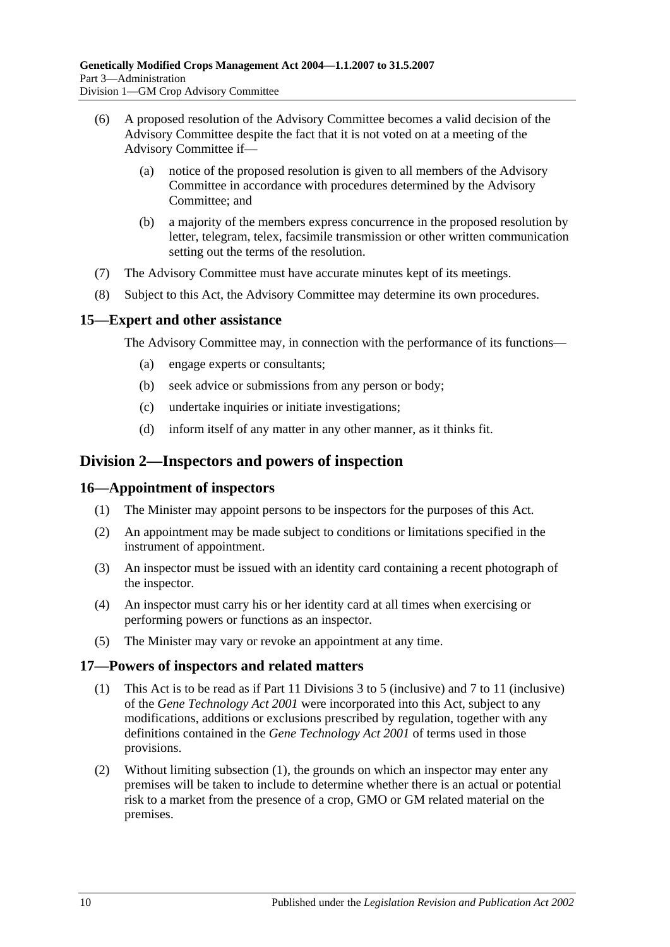- (6) A proposed resolution of the Advisory Committee becomes a valid decision of the Advisory Committee despite the fact that it is not voted on at a meeting of the Advisory Committee if—
	- (a) notice of the proposed resolution is given to all members of the Advisory Committee in accordance with procedures determined by the Advisory Committee; and
	- (b) a majority of the members express concurrence in the proposed resolution by letter, telegram, telex, facsimile transmission or other written communication setting out the terms of the resolution.
- (7) The Advisory Committee must have accurate minutes kept of its meetings.
- (8) Subject to this Act, the Advisory Committee may determine its own procedures.

### <span id="page-9-0"></span>**15—Expert and other assistance**

The Advisory Committee may, in connection with the performance of its functions—

- (a) engage experts or consultants;
- (b) seek advice or submissions from any person or body;
- (c) undertake inquiries or initiate investigations;
- (d) inform itself of any matter in any other manner, as it thinks fit.

# <span id="page-9-1"></span>**Division 2—Inspectors and powers of inspection**

#### <span id="page-9-2"></span>**16—Appointment of inspectors**

- (1) The Minister may appoint persons to be inspectors for the purposes of this Act.
- (2) An appointment may be made subject to conditions or limitations specified in the instrument of appointment.
- (3) An inspector must be issued with an identity card containing a recent photograph of the inspector.
- (4) An inspector must carry his or her identity card at all times when exercising or performing powers or functions as an inspector.
- (5) The Minister may vary or revoke an appointment at any time.

#### <span id="page-9-4"></span><span id="page-9-3"></span>**17—Powers of inspectors and related matters**

- (1) This Act is to be read as if Part 11 Divisions 3 to 5 (inclusive) and 7 to 11 (inclusive) of the *[Gene Technology Act](http://www.legislation.sa.gov.au/index.aspx?action=legref&type=act&legtitle=Gene%20Technology%20Act%202001) 2001* were incorporated into this Act, subject to any modifications, additions or exclusions prescribed by regulation, together with any definitions contained in the *[Gene Technology Act](http://www.legislation.sa.gov.au/index.aspx?action=legref&type=act&legtitle=Gene%20Technology%20Act%202001) 2001* of terms used in those provisions.
- (2) Without limiting [subsection](#page-9-4) (1), the grounds on which an inspector may enter any premises will be taken to include to determine whether there is an actual or potential risk to a market from the presence of a crop, GMO or GM related material on the premises.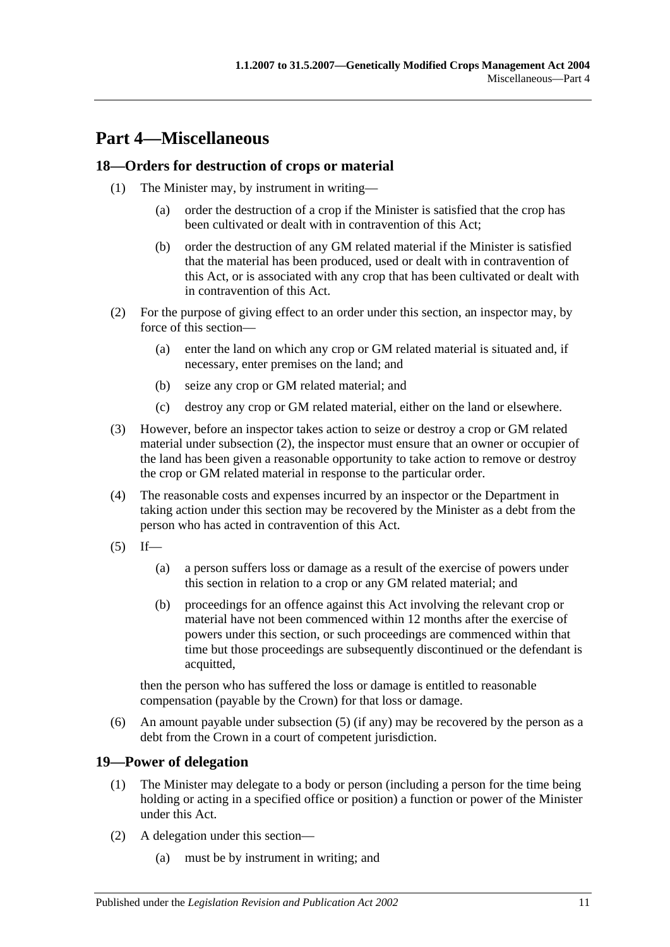# <span id="page-10-0"></span>**Part 4—Miscellaneous**

# <span id="page-10-1"></span>**18—Orders for destruction of crops or material**

- (1) The Minister may, by instrument in writing—
	- (a) order the destruction of a crop if the Minister is satisfied that the crop has been cultivated or dealt with in contravention of this Act;
	- (b) order the destruction of any GM related material if the Minister is satisfied that the material has been produced, used or dealt with in contravention of this Act, or is associated with any crop that has been cultivated or dealt with in contravention of this Act.
- <span id="page-10-3"></span>(2) For the purpose of giving effect to an order under this section, an inspector may, by force of this section—
	- (a) enter the land on which any crop or GM related material is situated and, if necessary, enter premises on the land; and
	- (b) seize any crop or GM related material; and
	- (c) destroy any crop or GM related material, either on the land or elsewhere.
- (3) However, before an inspector takes action to seize or destroy a crop or GM related material under [subsection](#page-10-3) (2), the inspector must ensure that an owner or occupier of the land has been given a reasonable opportunity to take action to remove or destroy the crop or GM related material in response to the particular order.
- (4) The reasonable costs and expenses incurred by an inspector or the Department in taking action under this section may be recovered by the Minister as a debt from the person who has acted in contravention of this Act.
- <span id="page-10-4"></span> $(5)$  If—
	- (a) a person suffers loss or damage as a result of the exercise of powers under this section in relation to a crop or any GM related material; and
	- (b) proceedings for an offence against this Act involving the relevant crop or material have not been commenced within 12 months after the exercise of powers under this section, or such proceedings are commenced within that time but those proceedings are subsequently discontinued or the defendant is acquitted,

then the person who has suffered the loss or damage is entitled to reasonable compensation (payable by the Crown) for that loss or damage.

(6) An amount payable under [subsection](#page-10-4) (5) (if any) may be recovered by the person as a debt from the Crown in a court of competent jurisdiction.

# <span id="page-10-2"></span>**19—Power of delegation**

- (1) The Minister may delegate to a body or person (including a person for the time being holding or acting in a specified office or position) a function or power of the Minister under this Act.
- (2) A delegation under this section—
	- (a) must be by instrument in writing; and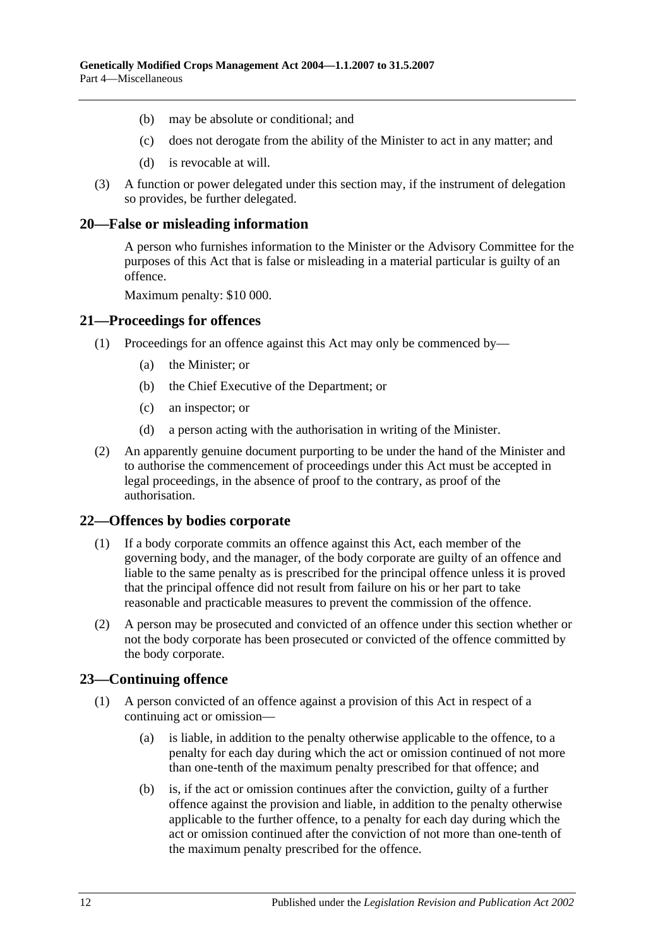- (b) may be absolute or conditional; and
- (c) does not derogate from the ability of the Minister to act in any matter; and
- (d) is revocable at will.
- (3) A function or power delegated under this section may, if the instrument of delegation so provides, be further delegated.

#### <span id="page-11-0"></span>**20—False or misleading information**

A person who furnishes information to the Minister or the Advisory Committee for the purposes of this Act that is false or misleading in a material particular is guilty of an offence.

Maximum penalty: \$10 000.

### <span id="page-11-1"></span>**21—Proceedings for offences**

- (1) Proceedings for an offence against this Act may only be commenced by—
	- (a) the Minister; or
	- (b) the Chief Executive of the Department; or
	- (c) an inspector; or
	- (d) a person acting with the authorisation in writing of the Minister.
- (2) An apparently genuine document purporting to be under the hand of the Minister and to authorise the commencement of proceedings under this Act must be accepted in legal proceedings, in the absence of proof to the contrary, as proof of the authorisation.

#### <span id="page-11-2"></span>**22—Offences by bodies corporate**

- (1) If a body corporate commits an offence against this Act, each member of the governing body, and the manager, of the body corporate are guilty of an offence and liable to the same penalty as is prescribed for the principal offence unless it is proved that the principal offence did not result from failure on his or her part to take reasonable and practicable measures to prevent the commission of the offence.
- (2) A person may be prosecuted and convicted of an offence under this section whether or not the body corporate has been prosecuted or convicted of the offence committed by the body corporate.

# <span id="page-11-3"></span>**23—Continuing offence**

- (1) A person convicted of an offence against a provision of this Act in respect of a continuing act or omission—
	- (a) is liable, in addition to the penalty otherwise applicable to the offence, to a penalty for each day during which the act or omission continued of not more than one-tenth of the maximum penalty prescribed for that offence; and
	- (b) is, if the act or omission continues after the conviction, guilty of a further offence against the provision and liable, in addition to the penalty otherwise applicable to the further offence, to a penalty for each day during which the act or omission continued after the conviction of not more than one-tenth of the maximum penalty prescribed for the offence.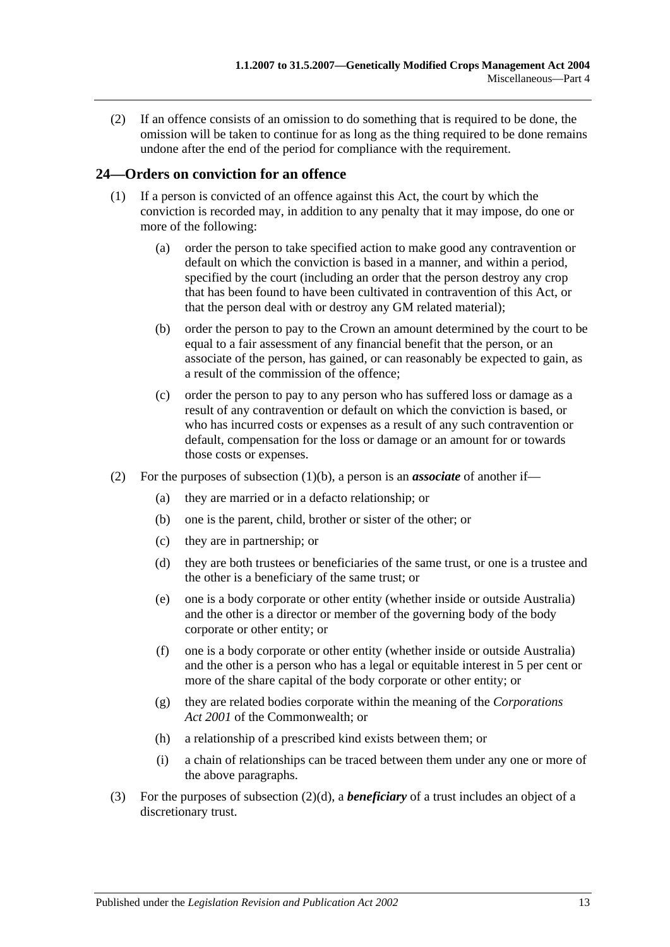(2) If an offence consists of an omission to do something that is required to be done, the omission will be taken to continue for as long as the thing required to be done remains undone after the end of the period for compliance with the requirement.

# <span id="page-12-0"></span>**24—Orders on conviction for an offence**

- <span id="page-12-1"></span>(1) If a person is convicted of an offence against this Act, the court by which the conviction is recorded may, in addition to any penalty that it may impose, do one or more of the following:
	- (a) order the person to take specified action to make good any contravention or default on which the conviction is based in a manner, and within a period, specified by the court (including an order that the person destroy any crop that has been found to have been cultivated in contravention of this Act, or that the person deal with or destroy any GM related material);
	- (b) order the person to pay to the Crown an amount determined by the court to be equal to a fair assessment of any financial benefit that the person, or an associate of the person, has gained, or can reasonably be expected to gain, as a result of the commission of the offence;
	- (c) order the person to pay to any person who has suffered loss or damage as a result of any contravention or default on which the conviction is based, or who has incurred costs or expenses as a result of any such contravention or default, compensation for the loss or damage or an amount for or towards those costs or expenses.
- <span id="page-12-2"></span>(2) For the purposes of [subsection](#page-12-1) (1)(b), a person is an *associate* of another if—
	- (a) they are married or in a defacto relationship; or
	- (b) one is the parent, child, brother or sister of the other; or
	- (c) they are in partnership; or
	- (d) they are both trustees or beneficiaries of the same trust, or one is a trustee and the other is a beneficiary of the same trust; or
	- (e) one is a body corporate or other entity (whether inside or outside Australia) and the other is a director or member of the governing body of the body corporate or other entity; or
	- (f) one is a body corporate or other entity (whether inside or outside Australia) and the other is a person who has a legal or equitable interest in 5 per cent or more of the share capital of the body corporate or other entity; or
	- (g) they are related bodies corporate within the meaning of the *Corporations Act 2001* of the Commonwealth; or
	- (h) a relationship of a prescribed kind exists between them; or
	- (i) a chain of relationships can be traced between them under any one or more of the above paragraphs.
- (3) For the purposes of [subsection](#page-12-2) (2)(d), a *beneficiary* of a trust includes an object of a discretionary trust.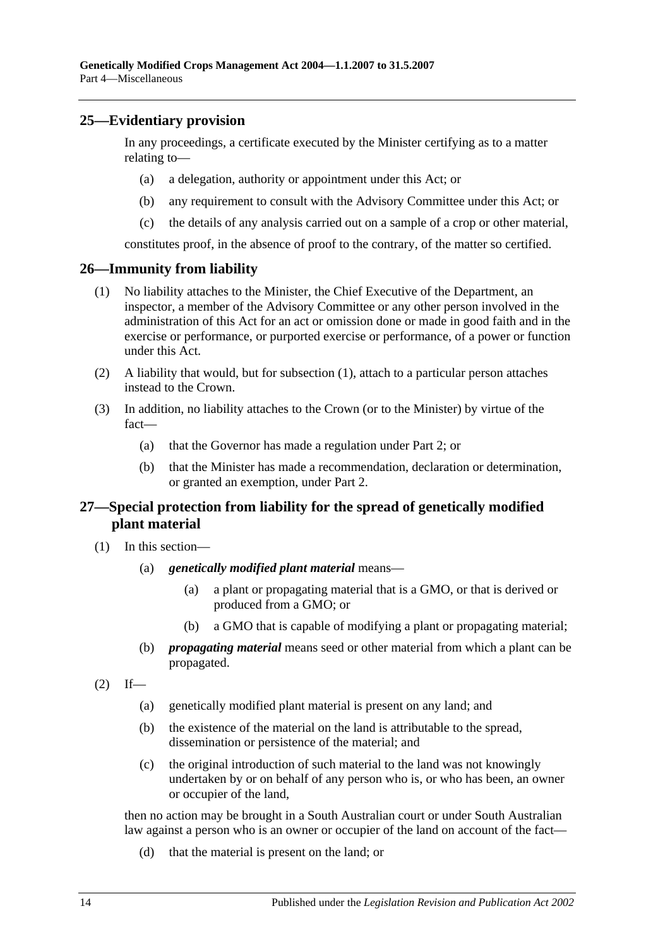# <span id="page-13-0"></span>**25—Evidentiary provision**

In any proceedings, a certificate executed by the Minister certifying as to a matter relating to—

- (a) a delegation, authority or appointment under this Act; or
- (b) any requirement to consult with the Advisory Committee under this Act; or
- (c) the details of any analysis carried out on a sample of a crop or other material,

constitutes proof, in the absence of proof to the contrary, of the matter so certified.

### <span id="page-13-3"></span><span id="page-13-1"></span>**26—Immunity from liability**

- (1) No liability attaches to the Minister, the Chief Executive of the Department, an inspector, a member of the Advisory Committee or any other person involved in the administration of this Act for an act or omission done or made in good faith and in the exercise or performance, or purported exercise or performance, of a power or function under this Act.
- (2) A liability that would, but for [subsection](#page-13-3) (1), attach to a particular person attaches instead to the Crown.
- (3) In addition, no liability attaches to the Crown (or to the Minister) by virtue of the fact—
	- (a) that the Governor has made a regulation under [Part 2;](#page-3-1) or
	- (b) that the Minister has made a recommendation, declaration or determination, or granted an exemption, under [Part 2.](#page-3-1)

# <span id="page-13-2"></span>**27—Special protection from liability for the spread of genetically modified plant material**

- (1) In this section—
	- (a) *genetically modified plant material* means—
		- (a) a plant or propagating material that is a GMO, or that is derived or produced from a GMO; or
		- (b) a GMO that is capable of modifying a plant or propagating material;
	- (b) *propagating material* means seed or other material from which a plant can be propagated.

<span id="page-13-4"></span> $(2)$  If—

- (a) genetically modified plant material is present on any land; and
- (b) the existence of the material on the land is attributable to the spread, dissemination or persistence of the material; and
- (c) the original introduction of such material to the land was not knowingly undertaken by or on behalf of any person who is, or who has been, an owner or occupier of the land,

then no action may be brought in a South Australian court or under South Australian law against a person who is an owner or occupier of the land on account of the fact—

(d) that the material is present on the land; or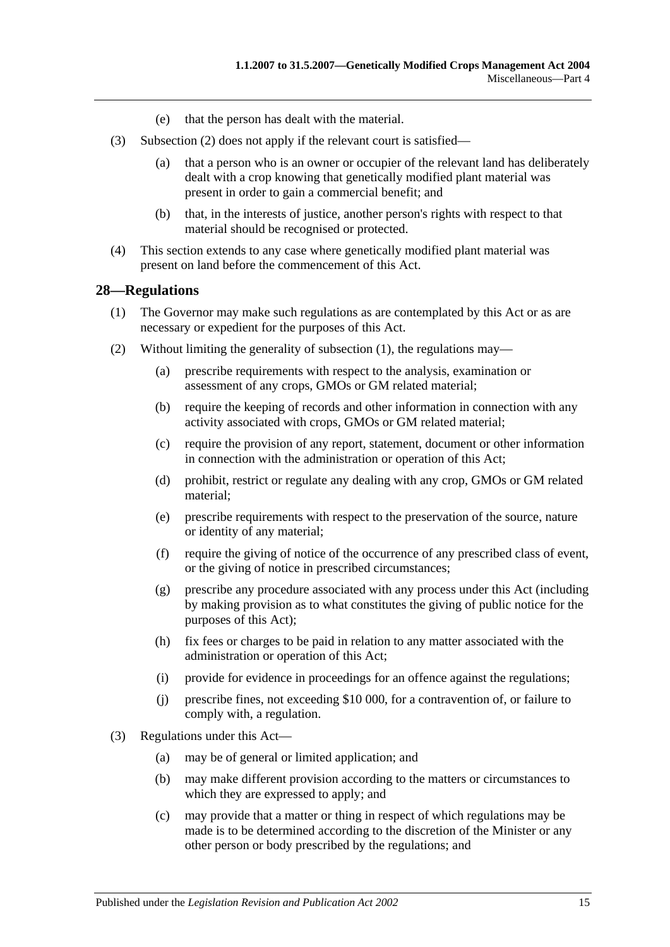- (e) that the person has dealt with the material.
- (3) [Subsection](#page-13-4) (2) does not apply if the relevant court is satisfied—
	- (a) that a person who is an owner or occupier of the relevant land has deliberately dealt with a crop knowing that genetically modified plant material was present in order to gain a commercial benefit; and
	- (b) that, in the interests of justice, another person's rights with respect to that material should be recognised or protected.
- (4) This section extends to any case where genetically modified plant material was present on land before the commencement of this Act.

#### <span id="page-14-1"></span><span id="page-14-0"></span>**28—Regulations**

- (1) The Governor may make such regulations as are contemplated by this Act or as are necessary or expedient for the purposes of this Act.
- (2) Without limiting the generality of [subsection](#page-14-1) (1), the regulations may—
	- (a) prescribe requirements with respect to the analysis, examination or assessment of any crops, GMOs or GM related material;
	- (b) require the keeping of records and other information in connection with any activity associated with crops, GMOs or GM related material;
	- (c) require the provision of any report, statement, document or other information in connection with the administration or operation of this Act;
	- (d) prohibit, restrict or regulate any dealing with any crop, GMOs or GM related material;
	- (e) prescribe requirements with respect to the preservation of the source, nature or identity of any material;
	- (f) require the giving of notice of the occurrence of any prescribed class of event, or the giving of notice in prescribed circumstances;
	- (g) prescribe any procedure associated with any process under this Act (including by making provision as to what constitutes the giving of public notice for the purposes of this Act);
	- (h) fix fees or charges to be paid in relation to any matter associated with the administration or operation of this Act;
	- (i) provide for evidence in proceedings for an offence against the regulations;
	- (j) prescribe fines, not exceeding \$10 000, for a contravention of, or failure to comply with, a regulation.
- (3) Regulations under this Act—
	- (a) may be of general or limited application; and
	- (b) may make different provision according to the matters or circumstances to which they are expressed to apply; and
	- (c) may provide that a matter or thing in respect of which regulations may be made is to be determined according to the discretion of the Minister or any other person or body prescribed by the regulations; and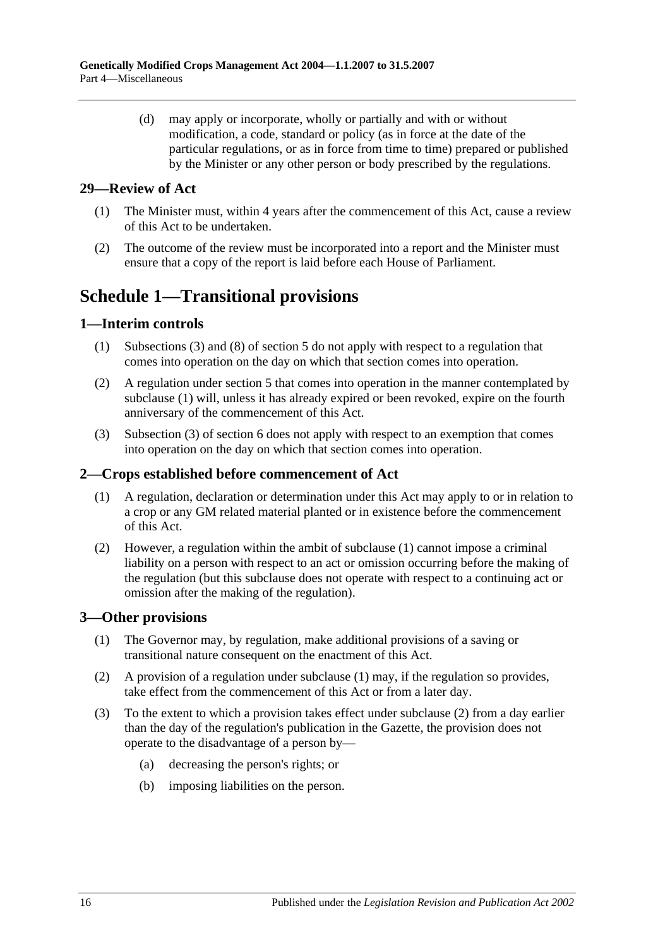(d) may apply or incorporate, wholly or partially and with or without modification, a code, standard or policy (as in force at the date of the particular regulations, or as in force from time to time) prepared or published by the Minister or any other person or body prescribed by the regulations.

# <span id="page-15-0"></span>**29—Review of Act**

- (1) The Minister must, within 4 years after the commencement of this Act, cause a review of this Act to be undertaken.
- (2) The outcome of the review must be incorporated into a report and the Minister must ensure that a copy of the report is laid before each House of Parliament.

# <span id="page-15-1"></span>**Schedule 1—Transitional provisions**

# <span id="page-15-5"></span><span id="page-15-2"></span>**1—Interim controls**

- (1) [Subsections](#page-3-8) (3) and (8) of [section](#page-3-2) 5 do not apply with respect to a regulation that comes into operation on the day on which that section comes into operation.
- (2) A regulation under [section](#page-3-2) 5 that comes into operation in the manner contemplated by [subclause](#page-15-5) (1) will, unless it has already expired or been revoked, expire on the fourth anniversary of the commencement of this Act.
- (3) Subsection (3) of section 6 does not apply with respect to an exemption that comes into operation on the day on which that section comes into operation.

# <span id="page-15-6"></span><span id="page-15-3"></span>**2—Crops established before commencement of Act**

- (1) A regulation, declaration or determination under this Act may apply to or in relation to a crop or any GM related material planted or in existence before the commencement of this Act.
- (2) However, a regulation within the ambit of [subclause](#page-15-6) (1) cannot impose a criminal liability on a person with respect to an act or omission occurring before the making of the regulation (but this subclause does not operate with respect to a continuing act or omission after the making of the regulation).

# <span id="page-15-7"></span><span id="page-15-4"></span>**3—Other provisions**

- (1) The Governor may, by regulation, make additional provisions of a saving or transitional nature consequent on the enactment of this Act.
- <span id="page-15-8"></span>(2) A provision of a regulation under [subclause](#page-15-7) (1) may, if the regulation so provides, take effect from the commencement of this Act or from a later day.
- (3) To the extent to which a provision takes effect under [subclause](#page-15-8) (2) from a day earlier than the day of the regulation's publication in the Gazette, the provision does not operate to the disadvantage of a person by—
	- (a) decreasing the person's rights; or
	- (b) imposing liabilities on the person.